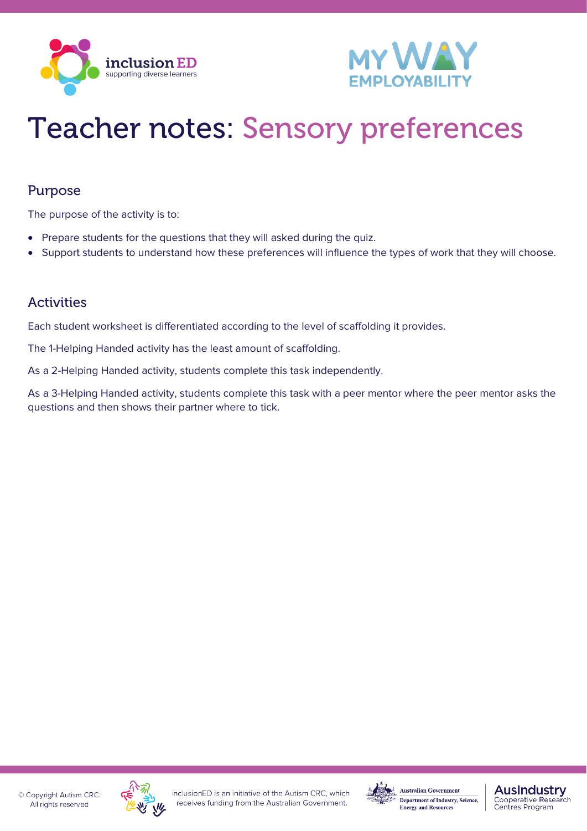



# Teacher notes: Sensory preferences

### Purpose

The purpose of the activity is to:

- Prepare students for the questions that they will asked during the quiz.
- Support students to understand how these preferences will influence the types of work that they will choose.

### Activities

Each student worksheet is differentiated according to the level of scaffolding it provides.

The 1-Helping Handed activity has the least amount of scaffolding.

As a 2-Helping Handed activity, students complete this task independently.

As a 3-Helping Handed activity, students complete this task with a peer mentor where the peer mentor asks the questions and then shows their partner where to tick.





#### **AusIndustry** Cooperative Research<br>Centres Program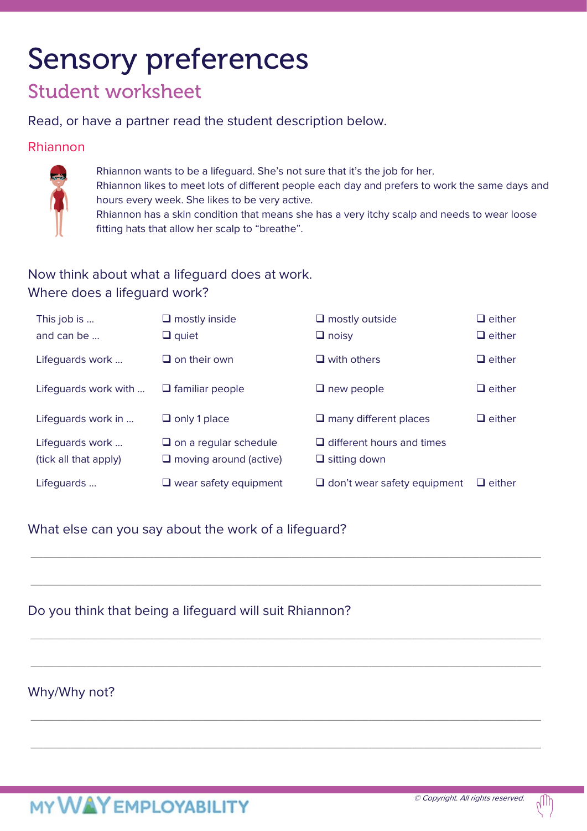# Sensory preferences

### Student worksheet

Read, or have a partner read the student description below.

### Rhiannon



Rhiannon wants to be a lifeguard. She's not sure that it's the job for her.

Rhiannon likes to meet lots of different people each day and prefers to work the same days and hours every week. She likes to be very active.

Rhiannon has a skin condition that means she has a very itchy scalp and needs to wear loose fitting hats that allow her scalp to "breathe".

### Now think about what a lifeguard does at work. Where does a lifeguard work?

| This job is<br>and can be $\ldots$ | $\Box$ mostly inside<br>$\Box$ quiet | $\Box$ mostly outside<br>$\Box$ noisy | $\Box$ either<br>$\Box$ either |
|------------------------------------|--------------------------------------|---------------------------------------|--------------------------------|
| Lifeguards work                    | $\Box$ on their own                  | $\Box$ with others                    | $\Box$ either                  |
| Lifeguards work with               | $\Box$ familiar people               | $\Box$ new people                     | $\Box$ either                  |
| Lifeguards work in                 | $\Box$ only 1 place                  | $\Box$ many different places          | $\Box$ either                  |
| Lifequards work                    | $\Box$ on a regular schedule         | $\Box$ different hours and times      |                                |
| (tick all that apply)              | $\Box$ moving around (active)        | $\Box$ sitting down                   |                                |
| Lifequards                         | $\Box$ wear safety equipment         | $\Box$ don't wear safety equipment    | $\Box$ either                  |

\_\_\_\_\_\_\_\_\_\_\_\_\_\_\_\_\_\_\_\_\_\_\_\_\_\_\_\_\_\_\_\_\_\_\_\_\_\_\_\_\_\_\_\_\_\_\_\_\_\_\_\_\_\_\_\_\_\_\_\_\_\_\_\_\_\_\_\_\_\_\_\_\_\_\_\_\_\_\_\_\_\_\_

\_\_\_\_\_\_\_\_\_\_\_\_\_\_\_\_\_\_\_\_\_\_\_\_\_\_\_\_\_\_\_\_\_\_\_\_\_\_\_\_\_\_\_\_\_\_\_\_\_\_\_\_\_\_\_\_\_\_\_\_\_\_\_\_\_\_\_\_\_\_\_\_\_\_\_\_\_\_\_\_\_\_\_

\_\_\_\_\_\_\_\_\_\_\_\_\_\_\_\_\_\_\_\_\_\_\_\_\_\_\_\_\_\_\_\_\_\_\_\_\_\_\_\_\_\_\_\_\_\_\_\_\_\_\_\_\_\_\_\_\_\_\_\_\_\_\_\_\_\_\_\_\_\_\_\_\_\_\_\_\_\_\_\_\_\_\_

\_\_\_\_\_\_\_\_\_\_\_\_\_\_\_\_\_\_\_\_\_\_\_\_\_\_\_\_\_\_\_\_\_\_\_\_\_\_\_\_\_\_\_\_\_\_\_\_\_\_\_\_\_\_\_\_\_\_\_\_\_\_\_\_\_\_\_\_\_\_\_\_\_\_\_\_\_\_\_\_\_\_\_

\_\_\_\_\_\_\_\_\_\_\_\_\_\_\_\_\_\_\_\_\_\_\_\_\_\_\_\_\_\_\_\_\_\_\_\_\_\_\_\_\_\_\_\_\_\_\_\_\_\_\_\_\_\_\_\_\_\_\_\_\_\_\_\_\_\_\_\_\_\_\_\_\_\_\_\_\_\_\_\_\_\_\_

\_\_\_\_\_\_\_\_\_\_\_\_\_\_\_\_\_\_\_\_\_\_\_\_\_\_\_\_\_\_\_\_\_\_\_\_\_\_\_\_\_\_\_\_\_\_\_\_\_\_\_\_\_\_\_\_\_\_\_\_\_\_\_\_\_\_\_\_\_\_\_\_\_\_\_\_\_\_\_\_\_\_\_

### What else can you say about the work of a lifeguard?

### Do you think that being a lifeguard will suit Rhiannon?

### Why/Why not?

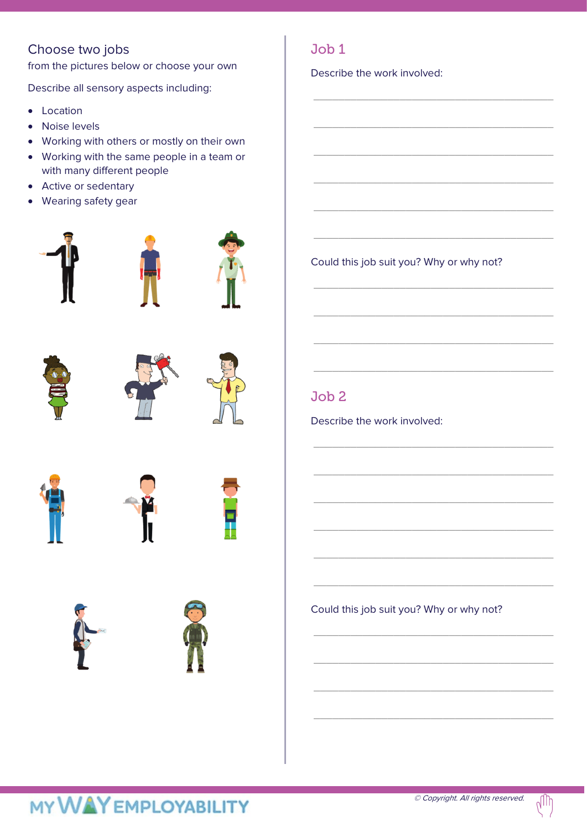### Choose two jobs

from the pictures below or choose your own

Describe all sensory aspects including:

- Location
- Noise levels
- Working with others or mostly on their own
- Working with the same people in a team or with many different people
- Active or sedentary
- Wearing safety gear























Job 1

Describe the work involved:

Could this job suit you? Why or why not?

\_\_\_\_\_\_\_\_\_\_\_\_\_\_\_\_\_\_\_\_\_\_\_\_\_\_\_\_\_\_\_\_\_\_\_\_\_\_\_

\_\_\_\_\_\_\_\_\_\_\_\_\_\_\_\_\_\_\_\_\_\_\_\_\_\_\_\_\_\_\_\_\_\_\_\_\_\_\_

\_\_\_\_\_\_\_\_\_\_\_\_\_\_\_\_\_\_\_\_\_\_\_\_\_\_\_\_\_\_\_\_\_\_\_\_\_\_\_

\_\_\_\_\_\_\_\_\_\_\_\_\_\_\_\_\_\_\_\_\_\_\_\_\_\_\_\_\_\_\_\_\_\_\_\_\_\_\_

\_\_\_\_\_\_\_\_\_\_\_\_\_\_\_\_\_\_\_\_\_\_\_\_\_\_\_\_\_\_\_\_\_\_\_\_\_\_\_

\_\_\_\_\_\_\_\_\_\_\_\_\_\_\_\_\_\_\_\_\_\_\_\_\_\_\_\_\_\_\_\_\_\_\_\_\_\_\_

\_\_\_\_\_\_\_\_\_\_\_\_\_\_\_\_\_\_\_\_\_\_\_\_\_\_\_\_\_\_\_\_\_\_\_\_\_\_\_

\_\_\_\_\_\_\_\_\_\_\_\_\_\_\_\_\_\_\_\_\_\_\_\_\_\_\_\_\_\_\_\_\_\_\_\_\_\_\_

\_\_\_\_\_\_\_\_\_\_\_\_\_\_\_\_\_\_\_\_\_\_\_\_\_\_\_\_\_\_\_\_\_\_\_\_\_\_\_

\_\_\_\_\_\_\_\_\_\_\_\_\_\_\_\_\_\_\_\_\_\_\_\_\_\_\_\_\_\_\_\_\_\_\_\_\_\_\_

\_\_\_\_\_\_\_\_\_\_\_\_\_\_\_\_\_\_\_\_\_\_\_\_\_\_\_\_\_\_\_\_\_\_\_\_\_\_\_

\_\_\_\_\_\_\_\_\_\_\_\_\_\_\_\_\_\_\_\_\_\_\_\_\_\_\_\_\_\_\_\_\_\_\_\_\_\_\_

\_\_\_\_\_\_\_\_\_\_\_\_\_\_\_\_\_\_\_\_\_\_\_\_\_\_\_\_\_\_\_\_\_\_\_\_\_\_\_

\_\_\_\_\_\_\_\_\_\_\_\_\_\_\_\_\_\_\_\_\_\_\_\_\_\_\_\_\_\_\_\_\_\_\_\_\_\_\_

\_\_\_\_\_\_\_\_\_\_\_\_\_\_\_\_\_\_\_\_\_\_\_\_\_\_\_\_\_\_\_\_\_\_\_\_\_\_\_

\_\_\_\_\_\_\_\_\_\_\_\_\_\_\_\_\_\_\_\_\_\_\_\_\_\_\_\_\_\_\_\_\_\_\_\_\_\_\_

\_\_\_\_\_\_\_\_\_\_\_\_\_\_\_\_\_\_\_\_\_\_\_\_\_\_\_\_\_\_\_\_\_\_\_\_\_\_\_

\_\_\_\_\_\_\_\_\_\_\_\_\_\_\_\_\_\_\_\_\_\_\_\_\_\_\_\_\_\_\_\_\_\_\_\_\_\_\_

\_\_\_\_\_\_\_\_\_\_\_\_\_\_\_\_\_\_\_\_\_\_\_\_\_\_\_\_\_\_\_\_\_\_\_\_\_\_\_

\_\_\_\_\_\_\_\_\_\_\_\_\_\_\_\_\_\_\_\_\_\_\_\_\_\_\_\_\_\_\_\_\_\_\_\_\_\_\_

### Job 2

Describe the work involved:

Could this job suit you? Why or why not?

## **MY WAY EMPLOYABILITY**

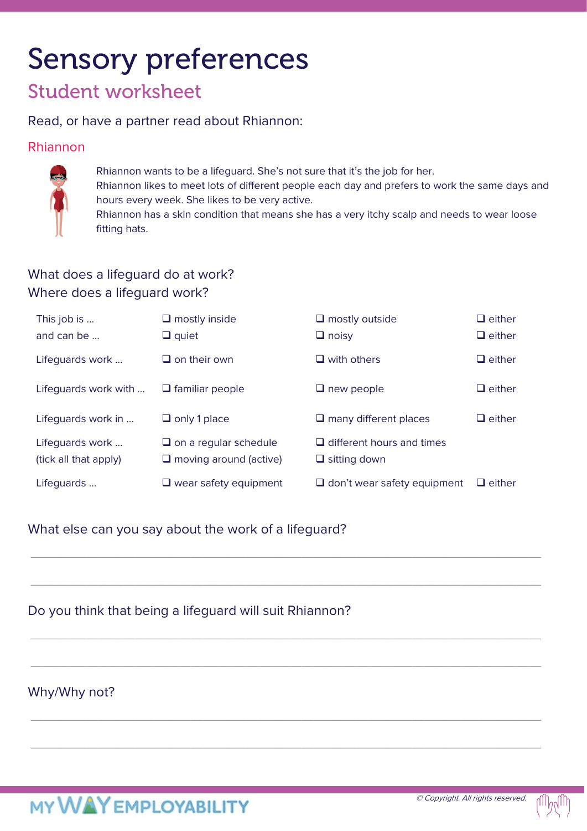# Sensory preferences

### Student worksheet

#### Read, or have a partner read about Rhiannon:

#### Rhiannon



Rhiannon wants to be a lifeguard. She's not sure that it's the job for her. Rhiannon likes to meet lots of different people each day and prefers to work the same days and

hours every week. She likes to be very active.

Rhiannon has a skin condition that means she has a very itchy scalp and needs to wear loose fitting hats.

### What does a lifeguard do at work? Where does a lifeguard work?

| This job is<br>and can be $\ldots$       | $\Box$ mostly inside<br>$\Box$ quiet                          | $\Box$ mostly outside<br>$\Box$ noisy                   | $\Box$ either<br>$\Box$ either |
|------------------------------------------|---------------------------------------------------------------|---------------------------------------------------------|--------------------------------|
| Lifeguards work                          | $\Box$ on their own                                           | $\Box$ with others                                      | $\Box$ either                  |
| Lifequards work with                     | $\Box$ familiar people                                        | $\Box$ new people                                       | $\Box$ either                  |
| Lifeguards work in                       | $\Box$ only 1 place                                           | $\Box$ many different places                            | $\Box$ either                  |
| Lifequards work<br>(tick all that apply) | $\Box$ on a regular schedule<br>$\Box$ moving around (active) | $\Box$ different hours and times<br>$\Box$ sitting down |                                |
| Lifeguards                               | $\Box$ wear safety equipment                                  | $\Box$ don't wear safety equipment                      | $\Box$ either                  |

\_\_\_\_\_\_\_\_\_\_\_\_\_\_\_\_\_\_\_\_\_\_\_\_\_\_\_\_\_\_\_\_\_\_\_\_\_\_\_\_\_\_\_\_\_\_\_\_\_\_\_\_\_\_\_\_\_\_\_\_\_\_\_\_\_\_\_\_\_\_\_\_\_\_\_\_\_\_\_\_\_\_\_

\_\_\_\_\_\_\_\_\_\_\_\_\_\_\_\_\_\_\_\_\_\_\_\_\_\_\_\_\_\_\_\_\_\_\_\_\_\_\_\_\_\_\_\_\_\_\_\_\_\_\_\_\_\_\_\_\_\_\_\_\_\_\_\_\_\_\_\_\_\_\_\_\_\_\_\_\_\_\_\_\_\_\_

\_\_\_\_\_\_\_\_\_\_\_\_\_\_\_\_\_\_\_\_\_\_\_\_\_\_\_\_\_\_\_\_\_\_\_\_\_\_\_\_\_\_\_\_\_\_\_\_\_\_\_\_\_\_\_\_\_\_\_\_\_\_\_\_\_\_\_\_\_\_\_\_\_\_\_\_\_\_\_\_\_\_\_

\_\_\_\_\_\_\_\_\_\_\_\_\_\_\_\_\_\_\_\_\_\_\_\_\_\_\_\_\_\_\_\_\_\_\_\_\_\_\_\_\_\_\_\_\_\_\_\_\_\_\_\_\_\_\_\_\_\_\_\_\_\_\_\_\_\_\_\_\_\_\_\_\_\_\_\_\_\_\_\_\_\_\_

\_\_\_\_\_\_\_\_\_\_\_\_\_\_\_\_\_\_\_\_\_\_\_\_\_\_\_\_\_\_\_\_\_\_\_\_\_\_\_\_\_\_\_\_\_\_\_\_\_\_\_\_\_\_\_\_\_\_\_\_\_\_\_\_\_\_\_\_\_\_\_\_\_\_\_\_\_\_\_\_\_\_\_

\_\_\_\_\_\_\_\_\_\_\_\_\_\_\_\_\_\_\_\_\_\_\_\_\_\_\_\_\_\_\_\_\_\_\_\_\_\_\_\_\_\_\_\_\_\_\_\_\_\_\_\_\_\_\_\_\_\_\_\_\_\_\_\_\_\_\_\_\_\_\_\_\_\_\_\_\_\_\_\_\_\_\_

### What else can you say about the work of a lifeguard?

### Do you think that being a lifeguard will suit Rhiannon?

### Why/Why not?

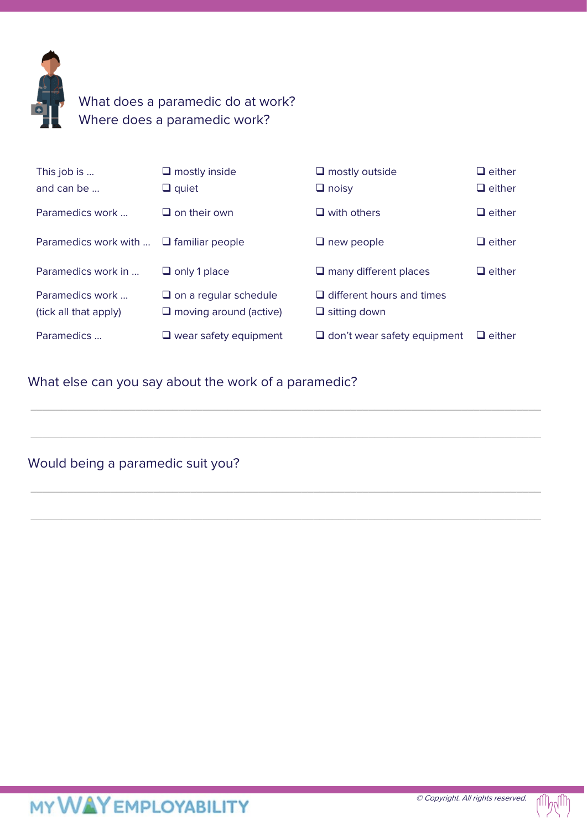

### What does a paramedic do at work? Where does a paramedic work?

| This job is<br>and can be                   | $\Box$ mostly inside<br>$\Box$ quiet                          | $\Box$ mostly outside<br>$\Box$ noisy                   | $\Box$ either<br>$\Box$ either |
|---------------------------------------------|---------------------------------------------------------------|---------------------------------------------------------|--------------------------------|
| Paramedics work                             | $\Box$ on their own                                           | $\Box$ with others                                      | $\Box$ either                  |
| Paramedics work with $\Box$ familiar people |                                                               | $\Box$ new people                                       | $\Box$ either                  |
| Paramedics work in                          | $\Box$ only 1 place                                           | $\Box$ many different places                            | $\Box$ either                  |
| Paramedics work<br>(tick all that apply)    | $\Box$ on a regular schedule<br>$\Box$ moving around (active) | $\Box$ different hours and times<br>$\Box$ sitting down |                                |
| Paramedics                                  | $\Box$ wear safety equipment                                  | $\Box$ don't wear safety equipment                      | $\Box$ either                  |
|                                             |                                                               |                                                         |                                |

\_\_\_\_\_\_\_\_\_\_\_\_\_\_\_\_\_\_\_\_\_\_\_\_\_\_\_\_\_\_\_\_\_\_\_\_\_\_\_\_\_\_\_\_\_\_\_\_\_\_\_\_\_\_\_\_\_\_\_\_\_\_\_\_\_\_\_\_\_\_\_\_\_\_\_\_\_\_\_\_\_\_\_

\_\_\_\_\_\_\_\_\_\_\_\_\_\_\_\_\_\_\_\_\_\_\_\_\_\_\_\_\_\_\_\_\_\_\_\_\_\_\_\_\_\_\_\_\_\_\_\_\_\_\_\_\_\_\_\_\_\_\_\_\_\_\_\_\_\_\_\_\_\_\_\_\_\_\_\_\_\_\_\_\_\_\_

\_\_\_\_\_\_\_\_\_\_\_\_\_\_\_\_\_\_\_\_\_\_\_\_\_\_\_\_\_\_\_\_\_\_\_\_\_\_\_\_\_\_\_\_\_\_\_\_\_\_\_\_\_\_\_\_\_\_\_\_\_\_\_\_\_\_\_\_\_\_\_\_\_\_\_\_\_\_\_\_\_\_\_

\_\_\_\_\_\_\_\_\_\_\_\_\_\_\_\_\_\_\_\_\_\_\_\_\_\_\_\_\_\_\_\_\_\_\_\_\_\_\_\_\_\_\_\_\_\_\_\_\_\_\_\_\_\_\_\_\_\_\_\_\_\_\_\_\_\_\_\_\_\_\_\_\_\_\_\_\_\_\_\_\_\_\_

### What else can you say about the work of a paramedic?

Would being a paramedic suit you?